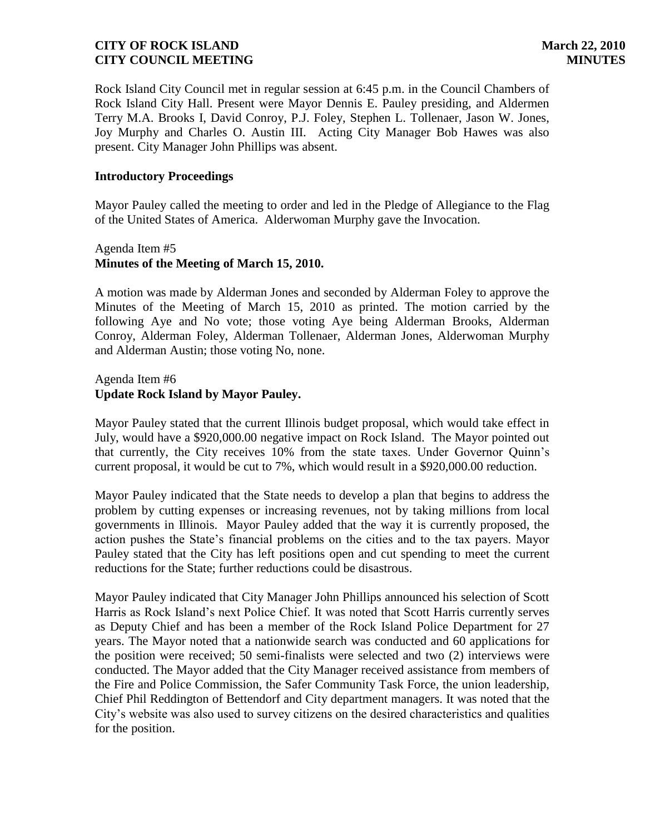Rock Island City Council met in regular session at 6:45 p.m. in the Council Chambers of Rock Island City Hall. Present were Mayor Dennis E. Pauley presiding, and Aldermen Terry M.A. Brooks I, David Conroy, P.J. Foley, Stephen L. Tollenaer, Jason W. Jones, Joy Murphy and Charles O. Austin III. Acting City Manager Bob Hawes was also present. City Manager John Phillips was absent.

#### **Introductory Proceedings**

Mayor Pauley called the meeting to order and led in the Pledge of Allegiance to the Flag of the United States of America. Alderwoman Murphy gave the Invocation.

## Agenda Item #5 **Minutes of the Meeting of March 15, 2010.**

A motion was made by Alderman Jones and seconded by Alderman Foley to approve the Minutes of the Meeting of March 15, 2010 as printed. The motion carried by the following Aye and No vote; those voting Aye being Alderman Brooks, Alderman Conroy, Alderman Foley, Alderman Tollenaer, Alderman Jones, Alderwoman Murphy and Alderman Austin; those voting No, none.

#### Agenda Item #6 **Update Rock Island by Mayor Pauley.**

Mayor Pauley stated that the current Illinois budget proposal, which would take effect in July, would have a \$920,000.00 negative impact on Rock Island. The Mayor pointed out that currently, the City receives 10% from the state taxes. Under Governor Quinn's current proposal, it would be cut to 7%, which would result in a \$920,000.00 reduction.

Mayor Pauley indicated that the State needs to develop a plan that begins to address the problem by cutting expenses or increasing revenues, not by taking millions from local governments in Illinois. Mayor Pauley added that the way it is currently proposed, the action pushes the State's financial problems on the cities and to the tax payers. Mayor Pauley stated that the City has left positions open and cut spending to meet the current reductions for the State; further reductions could be disastrous.

Mayor Pauley indicated that City Manager John Phillips announced his selection of Scott Harris as Rock Island's next Police Chief. It was noted that Scott Harris currently serves as Deputy Chief and has been a member of the Rock Island Police Department for 27 years. The Mayor noted that a nationwide search was conducted and 60 applications for the position were received; 50 semi-finalists were selected and two (2) interviews were conducted. The Mayor added that the City Manager received assistance from members of the Fire and Police Commission, the Safer Community Task Force, the union leadership, Chief Phil Reddington of Bettendorf and City department managers. It was noted that the City's website was also used to survey citizens on the desired characteristics and qualities for the position.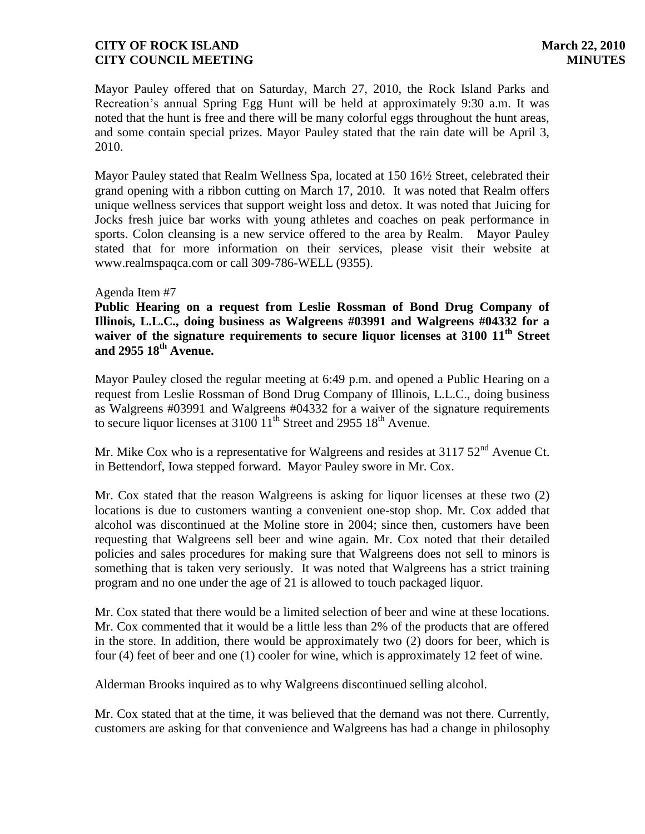Mayor Pauley offered that on Saturday, March 27, 2010, the Rock Island Parks and Recreation's annual Spring Egg Hunt will be held at approximately 9:30 a.m. It was noted that the hunt is free and there will be many colorful eggs throughout the hunt areas, and some contain special prizes. Mayor Pauley stated that the rain date will be April 3, 2010.

Mayor Pauley stated that Realm Wellness Spa, located at 150 16½ Street, celebrated their grand opening with a ribbon cutting on March 17, 2010. It was noted that Realm offers unique wellness services that support weight loss and detox. It was noted that Juicing for Jocks fresh juice bar works with young athletes and coaches on peak performance in sports. Colon cleansing is a new service offered to the area by Realm. Mayor Pauley stated that for more information on their services, please visit their website at www.realmspaqca.com or call 309-786-WELL (9355).

#### Agenda Item #7

**Public Hearing on a request from Leslie Rossman of Bond Drug Company of Illinois, L.L.C., doing business as Walgreens #03991 and Walgreens #04332 for a waiver of the signature requirements to secure liquor licenses at 3100 11th Street and 2955 18th Avenue.**

Mayor Pauley closed the regular meeting at 6:49 p.m. and opened a Public Hearing on a request from Leslie Rossman of Bond Drug Company of Illinois, L.L.C., doing business as Walgreens #03991 and Walgreens #04332 for a waiver of the signature requirements to secure liquor licenses at  $3100 \text{ 11}^{\text{th}}$  Street and 2955 18<sup>th</sup> Avenue.

Mr. Mike Cox who is a representative for Walgreens and resides at  $3117.52<sup>nd</sup>$  Avenue Ct. in Bettendorf, Iowa stepped forward. Mayor Pauley swore in Mr. Cox.

Mr. Cox stated that the reason Walgreens is asking for liquor licenses at these two (2) locations is due to customers wanting a convenient one-stop shop. Mr. Cox added that alcohol was discontinued at the Moline store in 2004; since then, customers have been requesting that Walgreens sell beer and wine again. Mr. Cox noted that their detailed policies and sales procedures for making sure that Walgreens does not sell to minors is something that is taken very seriously. It was noted that Walgreens has a strict training program and no one under the age of 21 is allowed to touch packaged liquor.

Mr. Cox stated that there would be a limited selection of beer and wine at these locations. Mr. Cox commented that it would be a little less than 2% of the products that are offered in the store. In addition, there would be approximately two (2) doors for beer, which is four (4) feet of beer and one (1) cooler for wine, which is approximately 12 feet of wine.

Alderman Brooks inquired as to why Walgreens discontinued selling alcohol.

Mr. Cox stated that at the time, it was believed that the demand was not there. Currently, customers are asking for that convenience and Walgreens has had a change in philosophy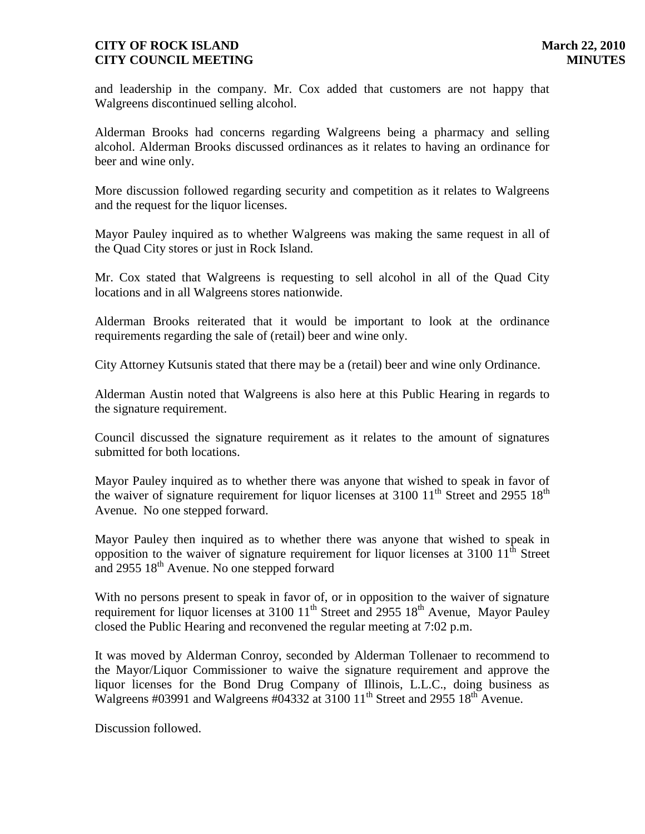and leadership in the company. Mr. Cox added that customers are not happy that Walgreens discontinued selling alcohol.

Alderman Brooks had concerns regarding Walgreens being a pharmacy and selling alcohol. Alderman Brooks discussed ordinances as it relates to having an ordinance for beer and wine only.

More discussion followed regarding security and competition as it relates to Walgreens and the request for the liquor licenses.

Mayor Pauley inquired as to whether Walgreens was making the same request in all of the Quad City stores or just in Rock Island.

Mr. Cox stated that Walgreens is requesting to sell alcohol in all of the Quad City locations and in all Walgreens stores nationwide.

Alderman Brooks reiterated that it would be important to look at the ordinance requirements regarding the sale of (retail) beer and wine only.

City Attorney Kutsunis stated that there may be a (retail) beer and wine only Ordinance.

Alderman Austin noted that Walgreens is also here at this Public Hearing in regards to the signature requirement.

Council discussed the signature requirement as it relates to the amount of signatures submitted for both locations.

Mayor Pauley inquired as to whether there was anyone that wished to speak in favor of the waiver of signature requirement for liquor licenses at  $3100 \frac{11}{\text{th}}$  Street and 2955  $18^{\text{th}}$ Avenue. No one stepped forward.

Mayor Pauley then inquired as to whether there was anyone that wished to speak in opposition to the waiver of signature requirement for liquor licenses at  $3100 \; 11^{\text{th}}$  Street and 2955  $18<sup>th</sup>$  Avenue. No one stepped forward

With no persons present to speak in favor of, or in opposition to the waiver of signature requirement for liquor licenses at 3100  $11^{th}$  Street and 2955  $18^{th}$  Avenue, Mayor Pauley closed the Public Hearing and reconvened the regular meeting at 7:02 p.m.

It was moved by Alderman Conroy, seconded by Alderman Tollenaer to recommend to the Mayor/Liquor Commissioner to waive the signature requirement and approve the liquor licenses for the Bond Drug Company of Illinois, L.L.C., doing business as Walgreens #03991 and Walgreens #04332 at 3100 11<sup>th</sup> Street and 2955 18<sup>th</sup> Avenue.

Discussion followed.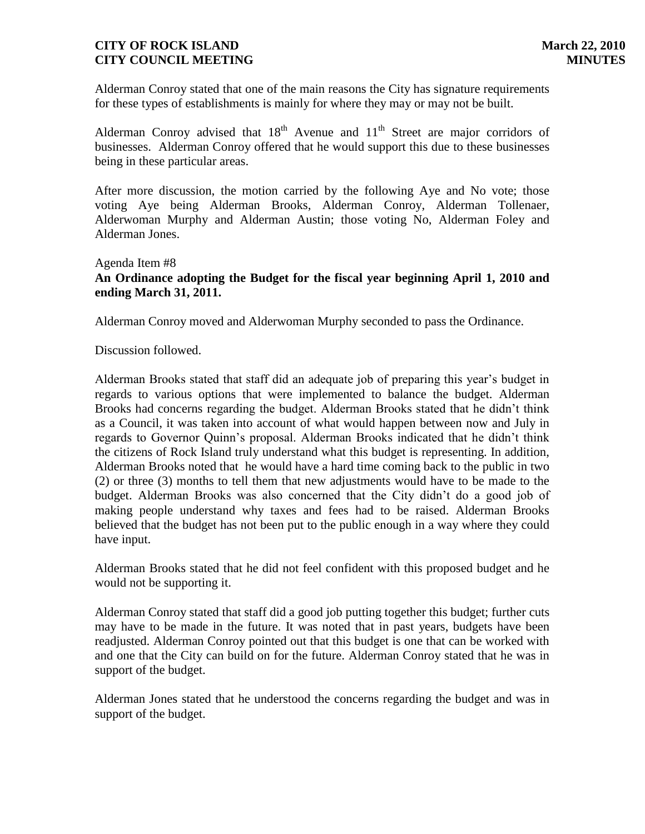Alderman Conroy stated that one of the main reasons the City has signature requirements for these types of establishments is mainly for where they may or may not be built.

Alderman Conroy advised that  $18<sup>th</sup>$  Avenue and  $11<sup>th</sup>$  Street are major corridors of businesses. Alderman Conroy offered that he would support this due to these businesses being in these particular areas.

After more discussion, the motion carried by the following Aye and No vote; those voting Aye being Alderman Brooks, Alderman Conroy, Alderman Tollenaer, Alderwoman Murphy and Alderman Austin; those voting No, Alderman Foley and Alderman Jones.

# Agenda Item #8 **An Ordinance adopting the Budget for the fiscal year beginning April 1, 2010 and ending March 31, 2011.**

Alderman Conroy moved and Alderwoman Murphy seconded to pass the Ordinance.

Discussion followed.

Alderman Brooks stated that staff did an adequate job of preparing this year's budget in regards to various options that were implemented to balance the budget. Alderman Brooks had concerns regarding the budget. Alderman Brooks stated that he didn't think as a Council, it was taken into account of what would happen between now and July in regards to Governor Quinn's proposal. Alderman Brooks indicated that he didn't think the citizens of Rock Island truly understand what this budget is representing. In addition, Alderman Brooks noted that he would have a hard time coming back to the public in two (2) or three (3) months to tell them that new adjustments would have to be made to the budget. Alderman Brooks was also concerned that the City didn't do a good job of making people understand why taxes and fees had to be raised. Alderman Brooks believed that the budget has not been put to the public enough in a way where they could have input.

Alderman Brooks stated that he did not feel confident with this proposed budget and he would not be supporting it.

Alderman Conroy stated that staff did a good job putting together this budget; further cuts may have to be made in the future. It was noted that in past years, budgets have been readjusted. Alderman Conroy pointed out that this budget is one that can be worked with and one that the City can build on for the future. Alderman Conroy stated that he was in support of the budget.

Alderman Jones stated that he understood the concerns regarding the budget and was in support of the budget.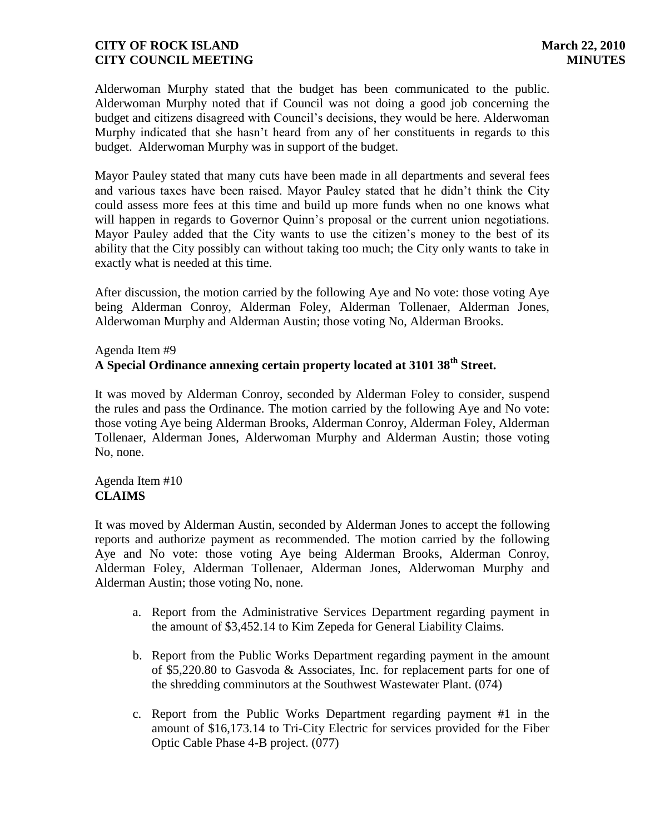Alderwoman Murphy stated that the budget has been communicated to the public. Alderwoman Murphy noted that if Council was not doing a good job concerning the budget and citizens disagreed with Council's decisions, they would be here. Alderwoman Murphy indicated that she hasn't heard from any of her constituents in regards to this budget. Alderwoman Murphy was in support of the budget.

Mayor Pauley stated that many cuts have been made in all departments and several fees and various taxes have been raised. Mayor Pauley stated that he didn't think the City could assess more fees at this time and build up more funds when no one knows what will happen in regards to Governor Quinn's proposal or the current union negotiations. Mayor Pauley added that the City wants to use the citizen's money to the best of its ability that the City possibly can without taking too much; the City only wants to take in exactly what is needed at this time.

After discussion, the motion carried by the following Aye and No vote: those voting Aye being Alderman Conroy, Alderman Foley, Alderman Tollenaer, Alderman Jones, Alderwoman Murphy and Alderman Austin; those voting No, Alderman Brooks.

## Agenda Item #9 **A Special Ordinance annexing certain property located at 3101 38th Street.**

It was moved by Alderman Conroy, seconded by Alderman Foley to consider, suspend the rules and pass the Ordinance. The motion carried by the following Aye and No vote: those voting Aye being Alderman Brooks, Alderman Conroy, Alderman Foley, Alderman Tollenaer, Alderman Jones, Alderwoman Murphy and Alderman Austin; those voting No, none.

## Agenda Item #10 **CLAIMS**

It was moved by Alderman Austin, seconded by Alderman Jones to accept the following reports and authorize payment as recommended. The motion carried by the following Aye and No vote: those voting Aye being Alderman Brooks, Alderman Conroy, Alderman Foley, Alderman Tollenaer, Alderman Jones, Alderwoman Murphy and Alderman Austin; those voting No, none.

- a. Report from the Administrative Services Department regarding payment in the amount of \$3,452.14 to Kim Zepeda for General Liability Claims.
- b. Report from the Public Works Department regarding payment in the amount of \$5,220.80 to Gasvoda & Associates, Inc. for replacement parts for one of the shredding comminutors at the Southwest Wastewater Plant. (074)
- c. Report from the Public Works Department regarding payment #1 in the amount of \$16,173.14 to Tri-City Electric for services provided for the Fiber Optic Cable Phase 4-B project. (077)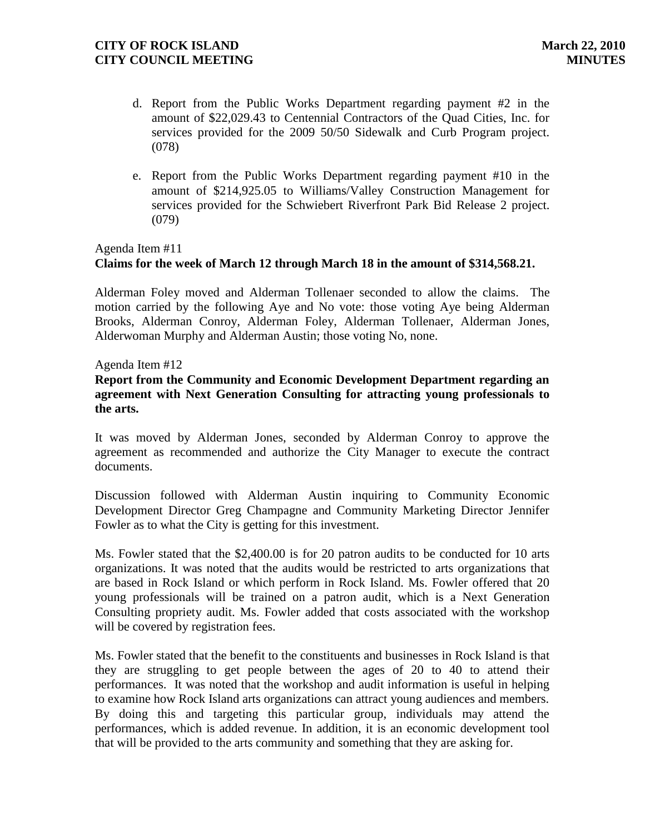- d. Report from the Public Works Department regarding payment #2 in the amount of \$22,029.43 to Centennial Contractors of the Quad Cities, Inc. for services provided for the 2009 50/50 Sidewalk and Curb Program project. (078)
- e. Report from the Public Works Department regarding payment #10 in the amount of \$214,925.05 to Williams/Valley Construction Management for services provided for the Schwiebert Riverfront Park Bid Release 2 project. (079)

# Agenda Item #11 **Claims for the week of March 12 through March 18 in the amount of \$314,568.21.**

Alderman Foley moved and Alderman Tollenaer seconded to allow the claims. The motion carried by the following Aye and No vote: those voting Aye being Alderman Brooks, Alderman Conroy, Alderman Foley, Alderman Tollenaer, Alderman Jones, Alderwoman Murphy and Alderman Austin; those voting No, none.

## Agenda Item #12

## **Report from the Community and Economic Development Department regarding an agreement with Next Generation Consulting for attracting young professionals to the arts.**

It was moved by Alderman Jones, seconded by Alderman Conroy to approve the agreement as recommended and authorize the City Manager to execute the contract documents.

Discussion followed with Alderman Austin inquiring to Community Economic Development Director Greg Champagne and Community Marketing Director Jennifer Fowler as to what the City is getting for this investment.

Ms. Fowler stated that the \$2,400.00 is for 20 patron audits to be conducted for 10 arts organizations. It was noted that the audits would be restricted to arts organizations that are based in Rock Island or which perform in Rock Island. Ms. Fowler offered that 20 young professionals will be trained on a patron audit, which is a Next Generation Consulting propriety audit. Ms. Fowler added that costs associated with the workshop will be covered by registration fees.

Ms. Fowler stated that the benefit to the constituents and businesses in Rock Island is that they are struggling to get people between the ages of 20 to 40 to attend their performances. It was noted that the workshop and audit information is useful in helping to examine how Rock Island arts organizations can attract young audiences and members. By doing this and targeting this particular group, individuals may attend the performances, which is added revenue. In addition, it is an economic development tool that will be provided to the arts community and something that they are asking for.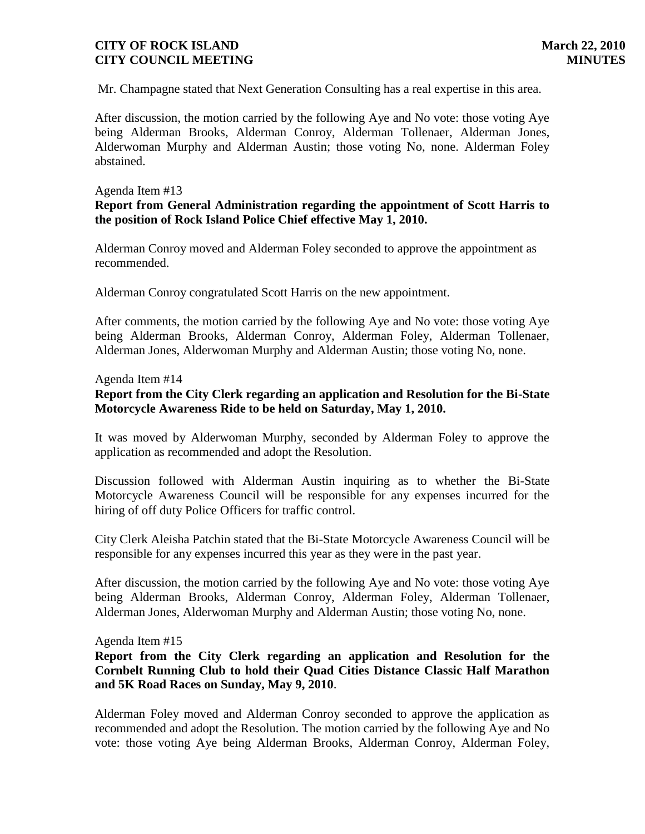Mr. Champagne stated that Next Generation Consulting has a real expertise in this area.

After discussion, the motion carried by the following Aye and No vote: those voting Aye being Alderman Brooks, Alderman Conroy, Alderman Tollenaer, Alderman Jones, Alderwoman Murphy and Alderman Austin; those voting No, none. Alderman Foley abstained.

#### Agenda Item #13

# **Report from General Administration regarding the appointment of Scott Harris to the position of Rock Island Police Chief effective May 1, 2010.**

Alderman Conroy moved and Alderman Foley seconded to approve the appointment as recommended.

Alderman Conroy congratulated Scott Harris on the new appointment.

After comments, the motion carried by the following Aye and No vote: those voting Aye being Alderman Brooks, Alderman Conroy, Alderman Foley, Alderman Tollenaer, Alderman Jones, Alderwoman Murphy and Alderman Austin; those voting No, none.

#### Agenda Item #14

# **Report from the City Clerk regarding an application and Resolution for the Bi-State Motorcycle Awareness Ride to be held on Saturday, May 1, 2010.**

It was moved by Alderwoman Murphy, seconded by Alderman Foley to approve the application as recommended and adopt the Resolution.

Discussion followed with Alderman Austin inquiring as to whether the Bi-State Motorcycle Awareness Council will be responsible for any expenses incurred for the hiring of off duty Police Officers for traffic control.

City Clerk Aleisha Patchin stated that the Bi-State Motorcycle Awareness Council will be responsible for any expenses incurred this year as they were in the past year.

After discussion, the motion carried by the following Aye and No vote: those voting Aye being Alderman Brooks, Alderman Conroy, Alderman Foley, Alderman Tollenaer, Alderman Jones, Alderwoman Murphy and Alderman Austin; those voting No, none.

#### Agenda Item #15

### **Report from the City Clerk regarding an application and Resolution for the Cornbelt Running Club to hold their Quad Cities Distance Classic Half Marathon and 5K Road Races on Sunday, May 9, 2010**.

Alderman Foley moved and Alderman Conroy seconded to approve the application as recommended and adopt the Resolution. The motion carried by the following Aye and No vote: those voting Aye being Alderman Brooks, Alderman Conroy, Alderman Foley,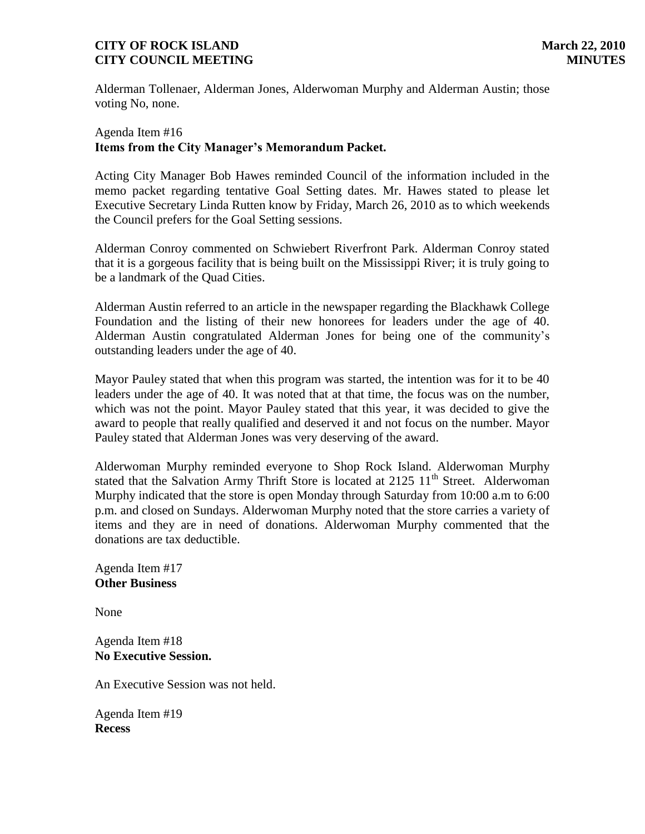Alderman Tollenaer, Alderman Jones, Alderwoman Murphy and Alderman Austin; those voting No, none.

### Agenda Item #16 **Items from the City Manager's Memorandum Packet.**

Acting City Manager Bob Hawes reminded Council of the information included in the memo packet regarding tentative Goal Setting dates. Mr. Hawes stated to please let Executive Secretary Linda Rutten know by Friday, March 26, 2010 as to which weekends the Council prefers for the Goal Setting sessions.

Alderman Conroy commented on Schwiebert Riverfront Park. Alderman Conroy stated that it is a gorgeous facility that is being built on the Mississippi River; it is truly going to be a landmark of the Quad Cities.

Alderman Austin referred to an article in the newspaper regarding the Blackhawk College Foundation and the listing of their new honorees for leaders under the age of 40. Alderman Austin congratulated Alderman Jones for being one of the community's outstanding leaders under the age of 40.

Mayor Pauley stated that when this program was started, the intention was for it to be 40 leaders under the age of 40. It was noted that at that time, the focus was on the number, which was not the point. Mayor Pauley stated that this year, it was decided to give the award to people that really qualified and deserved it and not focus on the number. Mayor Pauley stated that Alderman Jones was very deserving of the award.

Alderwoman Murphy reminded everyone to Shop Rock Island. Alderwoman Murphy stated that the Salvation Army Thrift Store is located at 2125 11<sup>th</sup> Street. Alderwoman Murphy indicated that the store is open Monday through Saturday from 10:00 a.m to 6:00 p.m. and closed on Sundays. Alderwoman Murphy noted that the store carries a variety of items and they are in need of donations. Alderwoman Murphy commented that the donations are tax deductible.

Agenda Item #17 **Other Business**

None

Agenda Item #18 **No Executive Session.** 

An Executive Session was not held.

Agenda Item #19 **Recess**